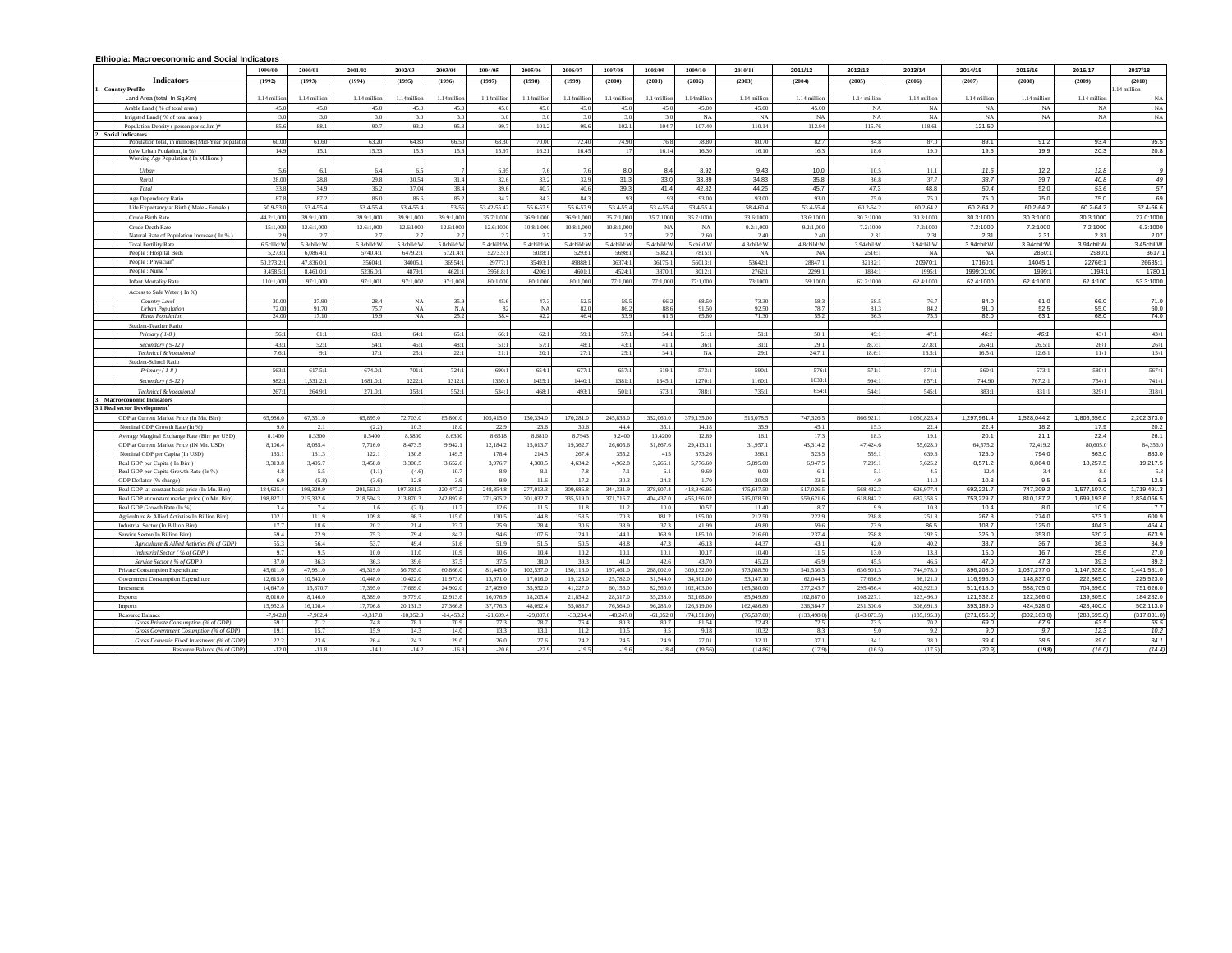## **Ethiopia: Macroeconomic and Social Indicators**

|                                                                | 1999/00        | 2000/01          | 2001/02                | 2002/03         | 2003/04     | 2004/05                  | 2005/06     | 2006/07      | 2007/08      | 2008/09              | 2009/10        | 2010/11        | 2011/12      | 2012/13       | 2013/14      | 2014/15      | 2015/16      | 2016/17      | 2017/18          |
|----------------------------------------------------------------|----------------|------------------|------------------------|-----------------|-------------|--------------------------|-------------|--------------|--------------|----------------------|----------------|----------------|--------------|---------------|--------------|--------------|--------------|--------------|------------------|
| <b>Indicators</b>                                              | (1992)         | (1993)           | (1994)                 | (1995)          | (1996)      | (1997)                   | (1998)      | (1999)       | (2000)       | (2001)               | (2002)         | (2003)         | (2004)       | (2005)        | (2006)       | (2007)       | (2008)       | (2009)       | (2010)           |
| <b>Country Profile</b>                                         |                |                  |                        |                 |             |                          |             |              |              |                      |                |                |              |               |              |              |              |              | 1.14 million     |
| Land Area (total, In Sq.Km)                                    | 1.14 millio    | 1.14 millio      | 1.14 million           | 1.14million     | 1.14million | 1.14million              | 1.14million | 1.14million  | 1.14million  | 1.14millio           | 1.14million    | 1.14 million   | 1.14 million | 1.14 million  | 1.14 million | 1.14 million | 1.14 million | 1.14 million | NA               |
| Arable Land (% of total area)                                  | 45.0           | 45.0             | 45.0                   | 45.0            | 45.0        | 45.0                     | 45.0        | 45.0         | 45.0         | 45.                  | 45.00          | 45.00          | 45.00        | NA            | NA           | NA           | NA           | NA           | NA               |
| Irrigated Land (% of total area)                               | 3.0            | 3.0              | 3.0                    | 3.0             | 3.0         | 3.0                      | 3.0         | 3.0          | 3.0          | 36                   | NA             | NA             | NA           | NA            | NA           | NA           | NA           | NA           | NA               |
| Population Density (person per sq.km)*                         | 85.6           | 88.1             | 90.7                   | 93.2            | 95.8        | 99.7                     | 101.2       | 99.6         | 102.1        | 104.7                | 107.40         | 110.14         | 112.94       | 115.76        | 118.61       | 121.50       |              |              |                  |
| 2. Social Indicators                                           |                |                  |                        |                 |             |                          |             |              |              |                      |                |                |              |               |              |              |              |              |                  |
| Population total, in millions (Mid-Year populatio              | 60.00          | 61.60            | 63.20                  | 64.80           | 66.50       | 68.30                    | 70.00       | 72.40        | 74.90        |                      | 78.80          | 80.70          | 82.7         | 84.8          | 87.0         | 89.1         | 91.2         | 93.4         | 95.5             |
| (o/w Urban Poulation, in %)                                    | 14.9           | 15.1             | 15.33                  | 15.5            | 15.8        | 15.97                    | 16.21       | 16.45        | 17           | 16.14                | 16.30          | 16.10          | 16.3         | 18.6          | 19.0         | 19.5         | 19.9         | 20.3         | 20.8             |
| Working Age Population (In Millions)                           |                |                  |                        |                 |             |                          |             |              |              |                      |                |                |              |               |              |              |              |              |                  |
| <b>Urban</b>                                                   | 5.6            | 6.1              | 64                     | -61             |             | 6.95                     | 76          | 76           | 8.0          | 8.4                  | 8.92           | 9.43           | 10.0         | 10.5          | 11.1         | 11.6         | 12.2         | 12.8         | $\overline{g}$   |
| Rural                                                          | 28.00          | 28.8             | 29.8                   | 30.54           | 31.4        | 32.6                     | 33.2        | 32.9         | 31.3         | 33.0                 | 33.89          | 34.83          | 35.8         | 36.8          | 37.7         | 38.7         | 39.7         | 40.8         | 49               |
| Total                                                          | 33.8           | 34.9             | 36.2                   | 37.04           | 38.4        | 39.6                     | 40.7        | 40.6         | 39.3         | 41.4                 | 42.82          | 44.26          | 45.7         | 47.3          | 48.8         | 50.4         | 52.0         | 53.6         | 57               |
| Age Dependency Ratio                                           | 87.8           | 87.2             | 86.0                   | 86.6            | 85.2        | 84.7                     | 84.3        | 84.3         | 93           | Q <sub>2</sub>       | 93.00          | 93.00          | 93.0         | 75.0          | 75.0         | 75.0         | 75.0         | 75.0         | 69               |
| Life Expectancy at Birth (Male - Female)                       | 50.9-53.0      | 53.4-55.4        | 53.4-55.4              | 53.4-55.4       | 53-55       | 53.42-55.42              | 55.6-57.9   | 55.6-57.9    | 53.4-55.4    | 53 4-55 4            | 53.4-55.4      | 58.4-60.4      | 53.4-55.4    | $60.2 - 64.2$ | 60.2-64.2    | 60.2-64.2    | 60.2-64.2    | 60.2-64.2    | 62.4-66.6        |
| Crude Birth Rate                                               | 44.2:1.000     | 39.9:1.000       | 39.9:1.000             | 39.9:1,000      | 39.9:1.000  | 35.7:1.000               | 36.9:1.000  | 36.9:1.000   | 35.7:1.000   | 35.7:1000            | 35.7:1000      | 33.6:1000      | 33.6:1000    | 30.3:1000     | 30.3:1000    | 30.3:1000    | 30.3:1000    | 30.3:1000    | 27.0:1000        |
|                                                                |                |                  |                        | 12.6:1000       | 12.6:1000   |                          | 10.8:1.000  | 10.8:1,000   | 10.8:1.000   |                      | NA             | 9.2:1.000      | 9.2:1.000    | 72:1000       | 7.2:1000     | 7.2:1000     | 7.2:1000     | 7.2:1000     |                  |
| Crude Death Rate<br>Natural Rate of Population Increase (In %) | 15:1.000<br>28 | 12.6:1,000<br>27 | 12.6:1.000<br>$\gamma$ | $2^{\circ}$     | $2^{\circ}$ | 12.6:1000<br>$2^{\circ}$ | 27          | 2.7          | 2.7          | NA<br>$\overline{ }$ | 2.60           | 2.40           | 2.40         | 2.31          | 2.31         | 2.31         | 2.31         | 2.31         | 6.3:1000<br>2.07 |
| <b>Total Fertility Rate</b>                                    | 6.5clild:W     | 5.8child:W       | 5.8child: W            | 5.8child:W      | 5.8child:W  | 5.4child:W               | 5.4child:W  | 5.4child:W   | 5.4child:W   | 5.4child: W          | 5 child: W     | 4.8child:W     | 4.8child:W   | 3.94chil:W    | 3.94chil:W   | 3.94chil:W   | 3.94chil:W   | 3.94chil:W   | 3.45chil:W       |
| People : Hospital Beds                                         | 5,273:1        | 6.086.4          | 5740.4:                | 6479.2:         | 5721.4:1    | 5273.5:                  | 5028:1      | 5293:1       | $5698 -$     | 5082                 | 7815:1         | $_{\rm NA}$    | NA           | 2516:1        | NA           | <b>NA</b>    | 2850:1       | 2980:1       | 3617             |
| People : Physician                                             | 50.273.2:1     | 47.836.0:1       | 35604:1                | 34005.          | 36954:1     | 29777:1                  | 35493:1     | 49888:1      | 36374:1      | 36175:               | 56013:1        | 53642:1        | 28847:1      | 32132:1       | 20970:1      | 17160:1      | 14045:1      | 22766:1      | 26635:1          |
| People: Nurse                                                  | 9.458.5:1      | 8.461.0:1        | 5236.0:1               | 4879:1          | 4621:1      | 3956.8:1                 | 4206:1      | 4601:1       | 4524:1       | 3870:                | 3012:1         | 2762:1         | 2299:1       | 1884:1        | 1995:1       | 1999:01:00   | 1999:1       | 1194:1       | 1780:            |
| <b>Infant Mortality Rate</b>                                   | 110:1,000      | 97:1.000         | 97:1.001               | 97:1.002        | 97:1.003    | 80:1.000                 | 80:1.000    | 80:1.000     | 77:1.000     | 77:1.000             | 77:1.000       | 73:1000        | 59:1000      | 62.2:1000     | 62.4:1000    | 62.4:1000    | 62.4:1000    | 62.4:100     | 53.3:1000        |
|                                                                |                |                  |                        |                 |             |                          |             |              |              |                      |                |                |              |               |              |              |              |              |                  |
| Access to Safe Water (In %)                                    |                |                  |                        |                 |             |                          |             |              |              |                      |                |                |              |               |              |              |              |              |                  |
| Country Level                                                  | 30.00<br>72.00 | 27.90<br>91.70   | 28.4<br>75.7           | NA              | 35.9<br>N.A | 45.6                     | 47.3<br>NA  | 52.5<br>82.0 | 59.5<br>86.2 | 66.2<br>88.6         | 68.50<br>91.50 | 73.30<br>92.50 | 58.3<br>78.7 | 68.5<br>81.3  | 76.7<br>84.2 | 84.0<br>91.0 | 61.0         | 66.0<br>55.0 | 71.0<br>60.0     |
| <b>Urban Population</b><br><b>Rural Population</b>             | 24.00          | 17.10            | 19.9                   | NA<br><b>NA</b> | 25.2        | 82<br>38.4               | 42.2        | 46.4         | 53.9         | 61.5                 | 65.80          | 71.30          | 55.2         | 66.5          | 75.5         | 82.0         | 52.5<br>63.1 | 68.0         | 74.0             |
| Student-Teacher Ratio                                          |                |                  |                        |                 |             |                          |             |              |              |                      |                |                |              |               |              |              |              |              |                  |
| Primary $(1-8)$                                                | 56:1           | 61:1             | 63:1                   | 64:1            | 65:1        | 66:1                     | 62:1        | 59:1         | 57:1         | 54:1                 | 51:1           | 51:1           | 50:1         | 49:1          | 47:1         | 46:1         | 46:1         | 43:1         | 43:1             |
| Secondary (9-12)                                               | 43:1           | 52:1             | 54:1                   | 45:1            | 48:1        | 51:1                     | 57:1        | 48:1         | 43:1         | 41:1                 | 36:1           | 31:1           | 29:1         | 28.7:1        | 27.8:1       | 26.4:1       | 26.5:1       | 26:1         | 26:1             |
| Technical & Vocational                                         | 7.6:1          | 9:1              | 17:1                   | 25:1            | 22:1        | 21:1                     | 20:1        | 27:1         | 25:1         | 34:1                 | NA             | 29:1           | 24.7:1       | 18.6:1        | 16.5:1       | 16.5:1       | 12.6:1       | 11:1         | 15:1             |
| Student-School Ratio                                           |                |                  |                        |                 |             |                          |             |              |              |                      |                |                |              |               |              |              |              |              |                  |
| Primary (1-8)                                                  | 563:1          | 617.5:           | 674.0:1                | 701:1           | 724:1       | 690:1                    | 654:1       | 677:1        | 657:1        | 619:                 | 573:1          | 590:1          | 576:1        | 571:1         | 571:1        | 560:1        | 573:1        | 580:1        | 567:1            |
| Secondary (9-12)                                               | 982:1          | 1.531.2:         | 1681.0:                | 1222:           | 1312:1      | 1350:1                   | 1425:       | 1440:1       | 1381:1       | 1345:1               | 1270:1         | 1160:1         | 1033:        | 994:1         | 857:1        | 744.90       | 767.2:1      | 754:1        | 741:1            |
|                                                                |                |                  |                        |                 |             |                          |             |              |              |                      |                |                | 654:1        |               |              |              |              |              |                  |
| Technical & Vocational<br><b>Macroeconomic Indicators</b>      | 267:1          | 264.9:1          | 271.0:1                | 353:1           | 552:1       | 534:1                    | 468:1       | 493:1        | 501:1        | 673:1                | 788:1          | 735:1          |              | 544:1         | 545:1        | 383:1        | 331:1        | 329:1        | 318:1            |
| 3.1 Real sector Development <sup>2</sup>                       |                |                  |                        |                 |             |                          |             |              |              |                      |                |                |              |               |              |              |              |              |                  |
| GDP at Current Market Price (In Mn. Birr)                      | 65,986.0       | 67,351.0         | 65,895.0               | 72,703.0        | 85,800.0    | 105,415.0                | 130,334.0   | 170,281.0    | 245,836.0    | 332,060.0            | 379,135.00     | 515,078.5      | 747,326.5    | 866,921.1     | 1,060,825.4  | 1,297,961.4  | 1,528,044.2  | 1,806,656.0  | 2,202,373.0      |
| Nominal GDP Growth Rate (In %)                                 | 9.0            | 2.1              | (2.2)                  | 10.3            | 18.0        | 22.9                     | 23.6        | 30.6         | 44.4         | 35.1                 | 14.18          | 35.9           | 45.1         | 15.3          | 22.4         | 22.4         | 18.2         | 17.9         | 20.2             |
| Average Marginal Exchange Rate (Birr per USD)                  | 8.1400         | 8.3300           | 8.5400                 | 8.5800          | 8.6300      | 8.6518                   | 8.6810      | 8.7943       | 9.2400       | 10.4200              | 12.89          | 16.1           | 17.3         | 18.3          | 19.1         | 20.1         | 21.1         | 22.4         | 26.1             |
| GDP at Current Market Price (IN Mn. USD)                       | 8,106.4        | 8.085.4          | 7.716.0                | 8.473.5         | 9.942.1     | 12.184.2                 | 15.013.7    | 19.362.7     | 26,605.6     | 31 867 6             | 29.413.11      | 31.957.1       | 43.314.2     | 47.424.6      | 55,628.0     | 64.575.2     | 72.419.2     | 80 605 0     | 84,356.0         |
| Nominal GDP per Capita (In USD)                                | 135.1          | 131.3            | 122.1                  | 130.8           | 149.5       | 178.4                    | 214.5       | 267.4        | 355.2        | 415                  | 373.26         | 396.1          | 523.5        | 559.1         | 639.6        | 725.0        | 794.0        | 863.0        | 883.0            |
| Real GDP per Capita (In Birr)                                  | 3.313.8        | 3.495.7          | 3.458.8                | 3,300.5         | 3.652.6     | 3.976.7                  | 4.300.5     | 4.634.2      | 4.962.8      | 5.266.1              | 5,776.60       | 5,895.00       | 6.947.5      | 7,299.1       | 7.625.2      | 8.571.2      | 8.864.0      | 18.257.5     | 19,217.5         |
| Real GDP per Capita Growth Rate (In %)                         | $4.8\,$        | 5.5              | (1.1)                  | (4.6)           | 10.7        | 8.9                      | 8.1         | 7.8          | 7.1          | 6.1                  | 9.69           | 9.00           | 6.1          | 5.1           | 4.5          | 12.4         | 3.4          | $8.0\,$      | 5.3              |
| GDP Deflator (% change)                                        | 6.9            | (5.8)            | (3.6)                  | 12.8            | 3.9         | 9.9                      | 11.6        | 17.2         | 30.3         | 24.2                 | 1.70           | 20.08          | 33.5         | 4.9           | 11.0         | 10.8         | 9.5          | 6.3          | 12.5             |
| Real GDP at constant basic price (In Mn. Birr)                 | 184,625.4      | 198.320.9        | 201.561.3              | 197.331.5       | 220.477.2   | 248,354.8                | 277.013.3   | 309,686.8    | 344,331.9    | 378,907.4            | 418,946.95     | 475,647.50     | 517.026.5    | 568,432.3     | 626.977.4    | 692.221.7    | 747.309.2    | 1.577.107.0  | 1,719,491.3      |
| Real GDP at constant market price (In Mn. Birr)                | 198,827.1      | 215,332.6        | 218,594.3              | 213,870.3       | 242,897.6   | 271,605.2                | 301,032.7   | 335,519.0    | 371,716.7    | 404.437.0            | 455,196.02     | 515,078.50     | 559,621.6    | 618,842.2     | 682.358.5    | 753,229.7    | 810,187.2    | 1,699,193.6  | 1,834,066.5      |
| Real GDP Growth Rate (In %)                                    | 3.4            | 74               | 16                     | (2.1)           | 11.7        | 12.6                     | 11.5        | 11.8         | 11.2         | 100                  | 10.57          | 11.40          | 8.7          | 9.9           | 103          | 10.4         | 8.0          | 10.9         | 7.7              |
| Agriculture & Allied Activties(In Billion Birr)                | 102.1          | 111.9            | 109.8                  | 98.3            | 115.0       | 130.5                    | 144.8       | 158.5        | 170.3        | 181.2                | 195.00         | 212.50         | 222.9        | 238.8         | 251.8        | 267.8        | 274.0        | 573.1        | 600.9            |
| Industrial Sector (In Billion Birr)                            | 17.7           | 18.6             | 20.2                   | 21.4            | 23.7        | 25.9                     | 28.4        | 30.6         | 33.9         | 373                  | 41.99          | 49.80          | 59.6         | 73.9          | 86.5         | 103.7        | 125.0        | 404.3        | 464.4            |
| Service Sector(In Billion Birr)                                | 69.4           | 72.9             | 75.3                   | 79.4            | 84.2        | 94.6                     | 107.6       | 124.1        | 144.1        | 163.9                | 185.10         | 216.60         | 237.4        | 258.8         | 292.5        | 325.0        | 353.0        | 620.2        | 673.9            |
| Agriculture & Allied Activties (% of GDP)                      | 55.3           | 56.4             | 53.7                   | 49.4            | 51.6        | 51.9                     | 51.5        | 50.5         | 48.8         | 473                  | 46.13          | 44.37          | 43.1         | 42.0          | 40.2         | 38.7         | 36.7         | 36.3         | 34.9             |
| Industrial Sector (% of GDP                                    | 9.7            | 9.5              | 10.0                   | 11.0            | 10.9        | 10.6                     | 10.4        | 10.2         | 10.1         | 10.1                 | 10.17          | 10.40          | 11.5         | 13.0          | 13.8         | 15.0         | 16.7         | 25.6         | 27.0             |
| Service Sector (% of GDP)                                      | 37.0           | 36.3             | 36.3                   | 39.6            | 37.5        | 37.5                     | 38.0        | 39.3         | 41.0         | 42.6                 | 43.70          | 45.23          | 45.9         | 45.5          | 46.6         | 47.0         | 47.3         | 39.3         | 39.2             |
| Private Consumption Expenditure                                | 45,611.0       | 47.981.0         | 49,319.0               | 56,765.0        | 60,866.0    | 81,445.0                 | 102.537.0   | 130,118.0    | 197,461.0    | 268,002.0            | 309.132.00     | 373,088.50     | 541,536.3    | 636,901.3     | 744,978.0    | 896,208.0    | 1,037,277.0  | 1,147,628.0  | 1,441,581.0      |
| Government Consumption Expenditure                             | 12,615.0       | 10,543.0         | 10,448.0               | 10,422.0        | 11,973.0    | 13,971.0                 | 17,016.0    | 19,123.0     | 25,782.0     | 31,544.0             | 34,801.00      | 53,147.10      | 62,044.5     | 77,636.9      | 98,121.0     | 116,995.0    | 148,837.0    | 222,865.0    | 225,523.0        |
| Investment                                                     | 14,647.0       | 15,870.          | 17.395.0               | 17,669.0        | 24,902.0    | 27,409.0                 | 35.952.0    | 41.227.0     | 60.156.0     | 82,560.0             | 102.403.00     | 165,380.00     | 277.243.7    | 295.456.4     | 402.922.0    | 511.618.0    | 588,705.0    | 704.596.0    | 751,626.0        |
| Exports                                                        | 8.010.0        | 8,146.0          | 8,389.0                | 9,779.0         | 12,913.6    | 16,076.9                 | 18,205.4    | 21,854.2     | 28,317.0     | 35,233.0             | 52,168.00      | 85,949.80      | 102,887.0    | 108,227.1     | 123,496.0    | 121,532.2    | 122,366.0    | 139,805.0    | 184,282.0        |
| Imports                                                        | 15.952.8       | 16 108 4         | 17 706 8               | 20.131.3        | 27 366 8    | 37 776 3                 | 48,092.4    | 55.088.7     | 76.564.0     | 96,285.0             | 126.319.00     | 162.486.80     | 236 384 7    | 251.300.6     | 308 691 3    | 393.189.0    | 424.528.0    | 428,400.0    | 502,113.0        |
| Resource Balance                                               | $-7,942.8$     | $-7,962.4$       | $-9,317.8$             | $-10,352.3$     | $-14,453.2$ | $-21,699.4$              | 29,887.0    | $-33,234.4$  | $-48,247.0$  | $-61,052.$           | (74, 151.00)   | (76, 537.00)   | (133, 498.0) | (143, 073.5)  | (185, 195.3) | (271, 656.0) | (302, 163.0) | (288, 595.0) | (317, 831.0      |
| Gross Private Consumption (% of GDP)                           | 69 1           | 71.2             | 748                    | 78.1            | 70.9        | 773                      | 787         | 764          | 803          | 80.                  | 81.54          | 72.43          | 72.5         | 73.5          | 70.2         | 69.0         | 67.9         | 63.5         | 65.5             |
| Gross Government Cosumption (% of GDP)                         | 19.1           | 15.7             | 15.9                   | 14.3            | 14.0        | 13.3                     | 13.1        | 11.2         | 10.5         | 9.5                  | 9.18           | 10.32          | 8.3          | 9.0           | 9.2          | 9.0          | 9.7          | 12.3         | 10.2             |
| Gross Domestic Fixed Investment (% of GDP                      | 22.2           | 23.6             | 26.4                   | 24.3            | 29.0        | 26.0                     | 27.6        | 24.2         | 24.5         | 24.9                 | 27.01          | 32.11          | 37.1         | 34.1          | 38.0         | 39.4         | 38.5         | 39.0         | 34.1             |
| Resource Balance (% of GDP)                                    | $-12.0$        | $-11.8$          | $-14.1$                | $-14.2$         | $-16.8$     | $-20.6$                  | $-22.9$     | $-19.5$      | $-19.6$      | $-18.4$              | (19.56)        | (14.86)        | (17.9)       | (16.5)        | (17.5)       | (20.9)       | (19.8)       | (16.0)       | (14.4)           |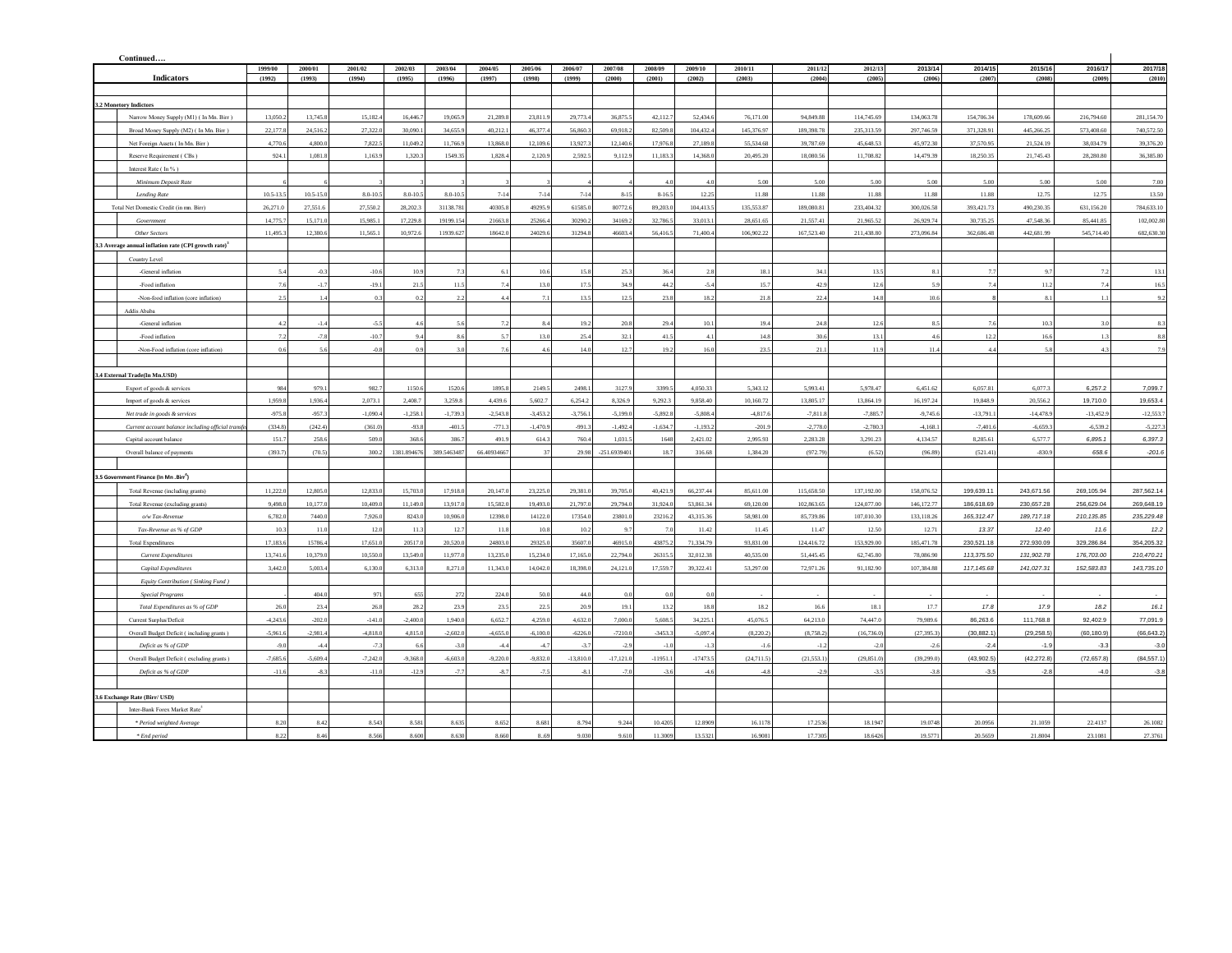| Continued                                          |                                                                  |             |               |               |              |              |             |            |             |                |                |                |            |             |             |              |              |             |             |             |
|----------------------------------------------------|------------------------------------------------------------------|-------------|---------------|---------------|--------------|--------------|-------------|------------|-------------|----------------|----------------|----------------|------------|-------------|-------------|--------------|--------------|-------------|-------------|-------------|
|                                                    |                                                                  | 1999/00     | 2000/01       | 2001/02       | 2002/03      | 2003/04      | 2004/05     | 2005/06    | 2006/07     | 2007/08        | 2008/09        | 2009/10        | 2010/11    | 2011/12     | 2012/13     | 2013/14      | 2014/15      | 2015/16     | 2016/17     | 2017/18     |
|                                                    | <b>Indicators</b>                                                | (1992)      | (1993)        | (1994)        | (1995)       | (1996)       | (1997)      | (1998)     | (1999)      | (2000)         | (2001)         | (2002)         | (2003)     | (2004)      | (2005)      | (2006)       | (2007)       | (2008)      | (2009)      | (2010)      |
|                                                    |                                                                  |             |               |               |              |              |             |            |             |                |                |                |            |             |             |              |              |             |             |             |
| 3.2 Monetory Indictors                             |                                                                  |             |               |               |              |              |             |            |             |                |                |                |            |             |             |              |              |             |             |             |
|                                                    | Narrow Money Supply (M1) (In Mn. Birr)                           | 13,050.     | 13,745.8      | 15,182.       | 16,446.7     | 19,065.9     | 21,289.8    | 23,811.9   | 29,773.4    | 36,875.5       | 42.112         | 52,434.6       | 76,171.00  | 94,849.88   | 114,745.69  | 134,063.78   | 154,706.34   | 178,609.66  | 216,794.60  | 281,154.70  |
|                                                    | Broad Money Supply (M2) (In Mn. Birr)                            | 22.177      | 24.516.2      | 27,322.0      | 30,090.1     | 34,655.9     | 40.212.1    | 46,377.4   | 56,860.3    | 69.918.2       | 82,509.8       | 104.432.4      | 145,376.97 | 189,398.78  | 235,313.59  | 297.746.59   | 371.328.91   | 445.266.25  | 573,408.60  | 740,572.50  |
|                                                    | Net Foreign Assets (In Mn. Birr)                                 | 4,770.6     | 4,800.0       | 7,822.5       | 11,049.2     | 11,766.9     | 13,868.0    | 12,109.6   | 13,927.3    | 12,140.6       | 17,976.8       | 27,189.8       | 55,534.68  | 39,787.69   | 45,648.53   | 45,972.30    | 37,570.95    | 21,524.19   | 38,034.79   | 39,376.20   |
|                                                    | Reserve Requirement (CBs)                                        | 924.1       | 1.081.8       | 1,163.9       | 1,320.3      | 1549.35      | 1.828.4     | 2,120.9    | 2.592.5     | 9,112.9        | 11,183.3       | 14,368.0       | 20,495.20  | 18,080.56   | 11,708.82   | 14,479.39    | 18,250.35    | 21,745.43   | 28,280.80   | 36,385.80   |
|                                                    | Interest Rate (In %)                                             |             |               |               |              |              |             |            |             |                |                |                |            |             |             |              |              |             |             |             |
|                                                    | Minimum Deposit Rate                                             |             |               |               |              |              |             |            |             |                | 4.1            | 4.0            | 5.00       | 5.00        | 5.00        | 5.00         | 5.00         | 5.00        | 5.00        | 7.00        |
|                                                    | <b>Lending Rate</b>                                              | $10.5 - 13$ | $10.5 - 15.0$ | $8.0 - 10.2$  | $8.0 - 10.5$ | $8.0 - 10.5$ | $7 - 14$    | $7 - 14$   | $7 - 14$    | $8 - 15$       | $8-16.2$       | 12.25          | 11.88      | 11.88       | 11.88       | 11.88        | 11.88        | 12.75       | 12.75       | 13.50       |
|                                                    | Total Net Domestic Credit (in mn. Birr)                          | 26,271.0    | 27,551.6      | 27,550.2      | 28,202.3     | 31138.781    | 40305.8     | 49295.9    | 61585.0     | 80772.6        | 89,203.        | 104,413.5      | 135,553.87 | 189,080.81  | 233,404.32  | 300,026.58   | 393,421.73   | 490,230.35  | 631,156.20  | 784,633.10  |
|                                                    | Government                                                       | 14,775.7    | 15,171.0      | 15,985.1      | 17,229.8     | 19199.154    | 21663.8     | 25266.4    | 30290.2     | 34169.2        | 32,786.        | 33,013.1       | 28,651.65  | 21,557.41   | 21,965.52   | 26,929.74    | 30,735.25    | 47,548.36   | 85,441.85   | 102,002.8   |
|                                                    | Other Sectors                                                    | 11,495.3    | 12,380.6      | 11,565.1      | 10.972.6     | 11939.627    | 18642.0     | 24029.6    | 31294.8     | 46603.4        | 56,416.5       | 71,400.4       | 106.902.22 | 167,523.40  | 211,438.80  | 273,096.84   | 362,686.48   | 442,681.99  | 545,714.40  | 682,630.30  |
|                                                    | 3.3 Average annual inflation rate (CPI growth rate) <sup>3</sup> |             |               |               |              |              |             |            |             |                |                |                |            |             |             |              |              |             |             |             |
| Country Level                                      |                                                                  |             |               |               |              |              |             |            |             |                |                |                |            |             |             |              |              |             |             |             |
|                                                    | -General inflation                                               | 5.4         | $-0.3$        | $-106$        | 10.9         | 7.3          | 6.1         | 10.6       | 15.8        | 25.3           | 36.4           | 2.8            | 18.1       | 34.1        | 13.5        | 8.1          | 7.7          | 9.7         | 7.2         | 13.1        |
|                                                    | -Food inflation                                                  | 7.6         | $-1.7$        | $-19.1$       | 21.5         | 11.5         | 7.4         | 13.0       | 17.5        | 34.9           | 44.2           | $-5.4$         | 15.7       | 42.9        | 12.6        | 5.9          | 7.4          | 11.2        | 7.4         | 16.5        |
|                                                    | -Non-food inflation (core inflation)                             | 2.5         | 1.4           | 03            | 0.2          | 2.2          | 4.4         | 7.1        | 13.5        | 12.5           | 23.8           | 18.2           | 21.8       | 22.4        | 14.8        | 10.6         | $\mathbf{a}$ | 8.1         | 1.1         | 9.2         |
| Addis Ababa                                        |                                                                  |             |               |               |              |              |             |            |             |                |                |                |            |             |             |              |              |             |             |             |
|                                                    | -General inflation                                               | 4.2         | $-1.4$        | $\mathcal{S}$ | 46           | 5.6          | 7.2         | 84         | 19.2        | 20.8           | 29.4           | 10.1           | 19.4       | 24.8        | 12.6        | 8.5          | 7.6          | 10.3        | 30          | 8.3         |
|                                                    | -Food inflation                                                  | 7.2         | $-7.8$        | $-10.7$       | 9.4          | 8.6          | 5.7         | 13.0       | 25.4        | 32.1           | 41.5           | $\Lambda$ 1    | 14.8       | 30.6        | 13.1        | 4.6          | 12.2         | 16.6        | 1.3         | 8.8         |
|                                                    | -Non-Food inflation (core inflation)                             | 0.6         | 5.6           | $-0.8$        | 0.9          | 3.0          | 7.6         | 4.6        | 14.0        | 12.7           | 19.2           | 16.0           | 23.5       | 21.1        | 11.9        | 11.4         | 4.4          | 58          | 4.3         | 7.9         |
|                                                    |                                                                  |             |               |               |              |              |             |            |             |                |                |                |            |             |             |              |              |             |             |             |
| .4 External Trade(In Mn.USD)                       |                                                                  |             |               |               |              |              |             |            |             |                |                |                |            |             |             |              |              |             |             |             |
|                                                    | Export of goods & services                                       | 984         | 979.1         | 982.7         | 1150.6       | 1520.6       | 1895.8      | 2149.5     | 2498.1      | 3127.9         | 3399.          | 4,050.33       | 5,343.12   | 5,993.41    | 5,978.47    | 6,451.62     | 6,057.81     | 6,077.3     | 6,257.2     | 7,099.7     |
|                                                    | Import of goods & services                                       | 1,959.8     | 1.936.4       | 2,073.1       | 2,408.7      | 3,259.8      | 4.439.6     | 5,602.7    | 6,254.2     | 8,326.9        | 9,292.3        | 9,858.40       | 10.160.72  | 13,805.17   | 13,864.19   | 16,197.24    | 19,848.9     | 20,556.2    | 19,710.0    | 19,653.4    |
|                                                    | Net trade in goods & services                                    | $-975.8$    | $-957.3$      | $-1,090.4$    | $-1,258.1$   | $-1,739.3$   | $-2,543.8$  | $-3,453.2$ | $-3,756.1$  | $-5,199.0$     | $-5,892.$      | $-5,808.4$     | $-4,817.6$ | $-7,811.8$  | $-7,885.7$  | $-9,745.6$   | $-13,791.1$  | $-14,478.9$ | $-13,452.9$ | $-12,553.$  |
|                                                    | Current account balance including official transf                | (334.8)     | (242.4)       | (361.0)       | $-93.8$      | $-401.5$     | $-771.3$    | $-1,470.9$ | $-991.3$    | $-1,492.4$     | $-1,634.7$     | $-1,193.2$     | $-201.9$   | $-2,778.0$  | $-2,780.3$  | $-4,168.1$   | $-7,401.6$   | $-6,659.3$  | $-6,539.2$  | $-5,227.3$  |
|                                                    |                                                                  | 151.7       | 258.6         | 509.0         | 368.6        | 386.7        | 491.9       | 614.3      | 760.4       | 1,031.2        | 1648           | 2,421.02       | 2,995.93   | 2,283.28    | 3,291.23    | 4,134.57     | 8,285.61     | 6,577.7     | 6,895.1     | 6,397.3     |
|                                                    | Capital account balance                                          | (393.7)     | (70.5)        | 300.2         | 1381.894676  | 389.5463487  | 66.40934667 | 37         | 29.98       | $-251.6939401$ | 18.7           | 316.68         | 1,384.20   | (972.79     | (6.52)      | (96.89)      | (521.41)     | $-830.9$    | 658.6       | $-201.6$    |
|                                                    | Overall balance of payments                                      |             |               |               |              |              |             |            |             |                |                |                |            |             |             |              |              |             |             |             |
| 3.5 Government Finance (In Mn .Birr <sup>4</sup> ) |                                                                  |             |               |               |              |              |             |            |             |                |                |                |            |             |             |              |              |             |             |             |
|                                                    |                                                                  |             |               |               |              |              |             |            |             |                |                |                |            |             |             |              |              |             |             |             |
|                                                    | Total Revenue (including grants)                                 | 11,222.0    | 12,805.0      | 12,833.0      | 15,703.0     | 17,918.0     | 20,147.0    | 23,225.0   | 29,381.0    | 39,705.0       | 40,421.9       | 66,237.44      | 85,611.00  | 115,658.50  | 137,192.00  | 158,076.52   | 199,639.11   | 243,671.56  | 269,105.94  | 287,562.14  |
|                                                    | Total Revenue (excluding grants)                                 | 9.498.0     | 10,177.0      | 10 409 0      | 11 149 0     | 13,917.0     | 15,582.0    | 19,493.0   | 21,797.0    | 29,794.0       | 31.924.0       | 53,861.34      | 69,120.00  | 102,863.65  | 124,077.00  | 146, 172. 77 | 186,618.69   | 230,657.28  | 256,629.04  | 269,648.19  |
|                                                    | o/w Tax-Revenue                                                  | 6,782.0     | 7440.0        | 7,926.        | 8243.0       | 10,906.0     | 12398.0     | 14122.0    | 17354.0     | 23801.0        | 23216.2        | 43,315.36      | 58,981.00  | 85,739.86   | 107.010.30  | 133.118.26   | 165.312.47   | 189.717.18  | 210.135.85  | 235,229.48  |
|                                                    | Tax-Revenue as % of GDP                                          | 10.3        | 11.0          | 12.0          | 11.3         | 12.7         | 11.8        | 10.8       | 10.2        | 9.7            | 7 <sub>0</sub> | 11.42          | 11.45      | 11.47       | 12.50       | 12.71        | 13.37        | 12.40       | 11.6        | 12.2        |
|                                                    | <b>Total Expenditures</b>                                        | 17.183.6    | 15786.4       | 17,651.0      | 20517.0      | 20,520.0     | 24803.0     | 29325.0    | 35607.0     | 46915.0        | 43875.2        | 71.334.79      | 93.831.00  | 124,416.72  | 153,929.00  | 185.471.78   | 230.521.18   | 272.930.09  | 329.286.84  | 354.205.32  |
|                                                    | <b>Current Expenditures</b>                                      | 13,741.6    | 10,379.0      | 10,550.0      | 13,549.0     | 11,977.0     | 13,235.0    | 15,234.0   | 17,165.0    | 22,794.0       | 26315.5        | 32,012.38      | 40,535.00  | 51,445.45   | 62,745.80   | 78,086.90    | 113,375.50   | 131,902.78  | 176,703.00  | 210,470.21  |
|                                                    | Capital Expenditures                                             | 3,442.0     | 5.003.4       | 6.130.0       | 6,313.0      | 8,271.0      | 11,343.0    | 14,042.0   | 18 398 0    | 24,121.0       | 17.559.7       | 39,322.41      | 53,297.00  | 72,971.26   | 91.182.90   | 107.384.88   | 117.145.68   | 141,027.31  | 152,583.83  | 143,735.10  |
|                                                    | Equity Contribution (Sinking Fund)                               |             |               |               |              |              |             |            |             |                |                |                |            |             |             |              |              |             |             |             |
|                                                    | <b>Special Programs</b>                                          |             | 404.0         | 971           | 655          | 272          | 224.0       | 50.0       | 44.0        | 0.0            | 0.0            | 0 <sub>0</sub> |            |             |             | in 19        |              |             |             |             |
|                                                    | Total Expenditures as % of GDP                                   | 26.0        | 23.4          | 26.8          | 28.2         | 23.9         | 23.5        | 22.5       | 20.9        | 19.1           | 13.2           | 18.8           | 18.2       | 16.6        | 18.1        | 17.7         | 17.8         | 17.9        | 18.2        | 16.1        |
|                                                    | Current Surplus/Deficit                                          | $-4,243.6$  | $-202.0$      | $-141.0$      | $-2,400.0$   | 1,940.0      | 6,652.7     | 4,259.0    | 4,632.0     | 7,000.0        | 5,608.5        | 34,225.1       | 45,076.5   | 64,213.0    | 74,447.0    | 79,989.6     | 86,263.6     | 111,768.8   | 92,402.9    | 77,091.9    |
|                                                    | Overall Budget Deficit (including grants)                        | $-5,961.6$  | $-2,981.4$    | $-4,818.0$    | 4,815.0      | $-2,602.0$   | $-4,655.0$  | $-6,100.0$ | $-6226.0$   | $-7210.0$      | $-3453.3$      | $-5,097.4$     | (8,220.2)  | (8,758.2)   | (16, 736.0) | (27, 395.3)  | (30, 882.1)  | (29, 258.5) | (60, 180.9) | (66, 643.2) |
|                                                    | Deficit as % of GDP                                              | $-9.0$      | $-4.4$        | $-7.3$        | 6.6          | $-3.0$       | $-4.4$      | $-4.7$     | $-3.7$      | $-2.9$         | $-1.0$         | $-1.3$         | $-11$      | $-12$       | $-2.0$      | $-2.6$       | $-2.4$       | $-1.9$      | $-3.3$      | $-3.0$      |
|                                                    | Overall Budget Deficit (excluding grants)                        | $-7,685.$   | 5,609.4       | $-7,242.0$    | $-9,368.0$   | $-6,603.0$   | $-9,220.0$  | $-9,832.0$ | $-13,810.0$ | $-17,121.0$    | $-11951.$      | $-17473.$      | (24, 711.5 | (21, 553.1) | (29, 851.0  | (39, 299.0)  | (43,902.5)   | (42, 272.8) | (72, 657.8) | (84, 557.1) |
|                                                    | Deficit as % of GDP                                              | $-11.6$     | $-8.3$        | $-11.0$       | $-12.9$      | $-7.7$       | $-8.7$      | $-7.5$     | $-81$       | $-7.0$         | $-3.6$         | $-46$          | $-48$      | $-2.9$      | $-3.5$      | $-3.8$       | $-3.5$       | $-2.8$      | $-4.0$      | $-3.8$      |
|                                                    |                                                                  |             |               |               |              |              |             |            |             |                |                |                |            |             |             |              |              |             |             |             |
| 3.6 Exchange Rate (Birr/ USD)                      |                                                                  |             |               |               |              |              |             |            |             |                |                |                |            |             |             |              |              |             |             |             |
|                                                    | Inter-Bank Forex Market Rate <sup>5</sup>                        |             |               |               |              |              |             |            |             |                |                |                |            |             |             |              |              |             |             |             |
|                                                    | * Period weighted Average                                        | 8.20        | 8.42          | 8.543         | 8.581        | 8.635        | 8.652       | 8.681      | 8.794       | 9.244          | 10.420:        | 12.8909        | 16.1178    | 17.2536     | 18.1947     | 19.0748      | 20.0956      | 21.1059     | 22.4137     | 26.1082     |
|                                                    | * End period                                                     | 8.22        | 8.46          | 8.566         | 8,600        | 8.630        | 8.660       | 8.69       | 9.030       | 9.610          | 11.3009        | 13.5321        | 16,9081    | 17.7305     | 18,6426     | 19.5771      | 20.5659      | 21,8004     | 23,1081     | 27.3761     |